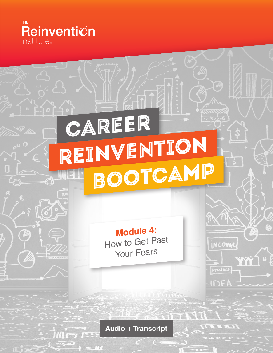

6

## CAREER REINVENTION Bootcamp

**Module 4:** How to Get Past Your Fears

NCOME

product

**IDE!** 

Ϋ́Ň

**Audio + Transcript**

 $171$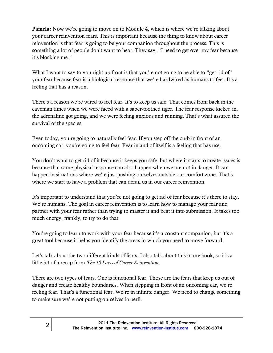**Pamela:** Now we're going to move on to Module 4, which is where we're talking about your career reinvention fears. This is important because the thing to know about career reinvention is that fear is going to be your companion throughout the process. This is something a lot of people don't want to hear. They say, "I need to get over my fear because it's blocking me."

What I want to say to you right up front is that you're not going to be able to "get rid of" your fear because fear is a biological response that we're hardwired as humans to feel. It's a feeling that has a reason.

There's a reason we're wired to feel fear. It's to keep us safe. That comes from back in the caveman times when we were faced with a saber-toothed tiger. The fear response kicked in, the adrenaline got going, and we were feeling anxious and running. That's what assured the survival of the species.

Even today, you're going to naturally feel fear. If you step off the curb in front of an oncoming car, you're going to feel fear. Fear in and of itself is a feeling that has use.

You don't want to get rid of it because it keeps you safe, but where it starts to create issues is because that same physical response can also happen when we are not in danger. It can happen in situations where we're just pushing ourselves outside our comfort zone. That's where we start to have a problem that can derail us in our career reinvention.

It's important to understand that you're not going to get rid of fear because it's there to stay. We're humans. The goal in career reinvention is to learn how to manage your fear and partner with your fear rather than trying to master it and beat it into submission. It takes too much energy, frankly, to try to do that.

You're going to learn to work with your fear because it's a constant companion, but it's a great tool because it helps you identify the areas in which you need to move forward.

Let's talk about the two different kinds of fears. I also talk about this in my book, so it's a little bit of a recap from *The 10 Laws of Career Reinvention*.

There are two types of fears. One is functional fear. Those are the fears that keep us out of danger and create healthy boundaries. When stepping in front of an oncoming car, we're feeling fear. That's a functional fear. We're in infinite danger. We need to change something to make sure we're not putting ourselves in peril.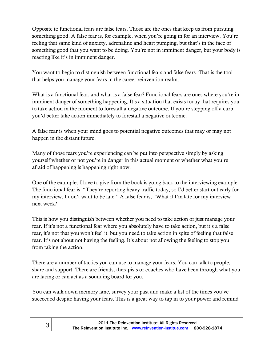Opposite to functional fears are false fears. Those are the ones that keep us from pursuing something good. A false fear is, for example, when you're going in for an interview. You're feeling that same kind of anxiety, adrenaline and heart pumping, but that's in the face of something good that you want to be doing. You're not in imminent danger, but your body is reacting like it's in imminent danger.

You want to begin to distinguish between functional fears and false fears. That is the tool that helps you manage your fears in the career reinvention realm.

What is a functional fear, and what is a false fear? Functional fears are ones where you're in imminent danger of something happening. It's a situation that exists today that requires you to take action in the moment to forestall a negative outcome. If you're stepping off a curb, you'd better take action immediately to forestall a negative outcome.

A false fear is when your mind goes to potential negative outcomes that may or may not happen in the distant future.

Many of those fears you're experiencing can be put into perspective simply by asking yourself whether or not you're in danger in this actual moment or whether what you're afraid of happening is happening right now.

One of the examples I love to give from the book is going back to the interviewing example. The functional fear is, "They're reporting heavy traffic today, so I'd better start out early for my interview. I don't want to be late." A false fear is, "What if I'm late for my interview next week?"

This is how you distinguish between whether you need to take action or just manage your fear. If it's not a functional fear where you absolutely have to take action, but it's a false fear, it's not that you won't feel it, but you need to take action in spite of feeling that false fear. It's not about not having the feeling. It's about not allowing the feeling to stop you from taking the action.

There are a number of tactics you can use to manage your fears. You can talk to people, share and support. There are friends, therapists or coaches who have been through what you are facing or can act as a sounding board for you.

You can walk down memory lane, survey your past and make a list of the times you've succeeded despite having your fears. This is a great way to tap in to your power and remind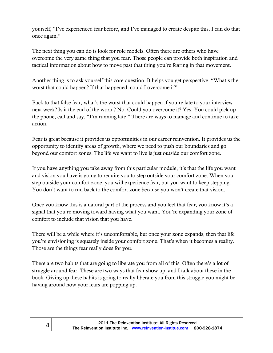yourself, "I've experienced fear before, and I've managed to create despite this. I can do that once again."

The next thing you can do is look for role models. Often there are others who have overcome the very same thing that you fear. Those people can provide both inspiration and tactical information about how to move past that thing you're fearing in that movement.

Another thing is to ask yourself this core question. It helps you get perspective. "What's the worst that could happen? If that happened, could I overcome it?"

Back to that false fear, what's the worst that could happen if you're late to your interview next week? Is it the end of the world? No. Could you overcome it? Yes. You could pick up the phone, call and say, "I'm running late." There are ways to manage and continue to take action.

Fear is great because it provides us opportunities in our career reinvention. It provides us the opportunity to identify areas of growth, where we need to push our boundaries and go beyond our comfort zones. The life we want to live is just outside our comfort zone.

If you have anything you take away from this particular module, it's that the life you want and vision you have is going to require you to step outside your comfort zone. When you step outside your comfort zone, you will experience fear, but you want to keep stepping. You don't want to run back to the comfort zone because you won't create that vision.

Once you know this is a natural part of the process and you feel that fear, you know it's a signal that you're moving toward having what you want. You're expanding your zone of comfort to include that vision that you have.

There will be a while where it's uncomfortable, but once your zone expands, then that life you're envisioning is squarely inside your comfort zone. That's when it becomes a reality. Those are the things fear really does for you.

There are two habits that are going to liberate you from all of this. Often there's a lot of struggle around fear. These are two ways that fear show up, and I talk about these in the book. Giving up these habits is going to really liberate you from this struggle you might be having around how your fears are popping up.